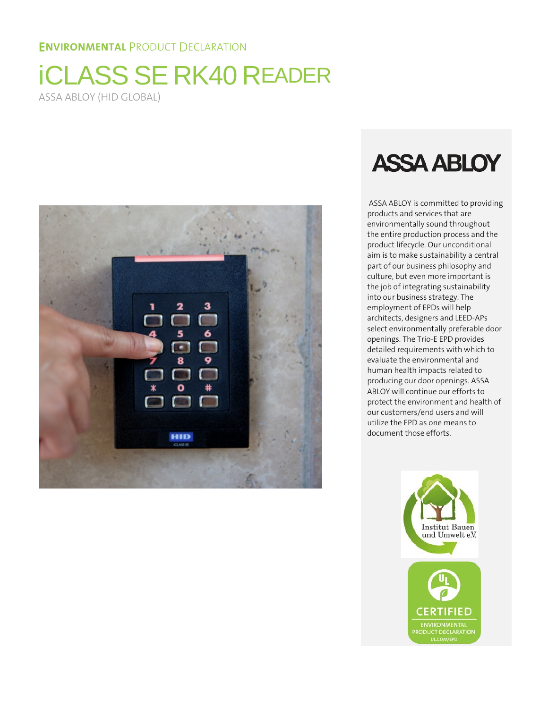# **ENVIRONMENTAL PRODUCT DECLARATION**

# **iCLASS SE RK40 READER** ASSA ABLOY (HID GLOBAL)



# **ASSA ABLOY**

ASSA ABLOY is committed to providing products and services that are environmentally sound throughout the entire production process and the product lifecycle. Our unconditional aim is to make sustainability a central part of our business philosophy and culture, but even more important is the job of integrating sustainability into our business strategy. The employment of EPDs will help architects, designers and LEED-APs select environmentally preferable door openings. The Trio-E EPD provides detailed requirements with which to evaluate the environmental and human health impacts related to producing our door openings. ASSA ABLOY will continue our efforts to protect the environment and health of our customers/end users and will utilize the EPD as one means to document those efforts.

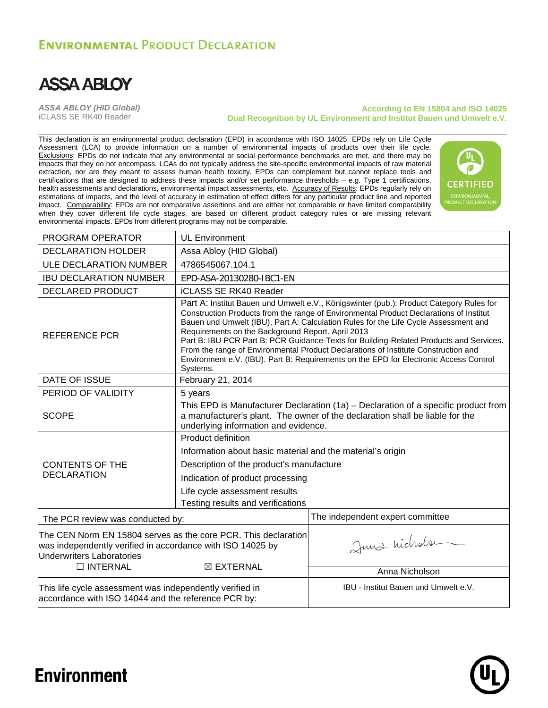# **ENVIRONMENTAL PRODUCT DECLARATION**



*ASSA ABLOY (HID Global)* iCLASS SE RK40 Reader

#### **According to EN 15804 and ISO 14025 Dual Recognition by UL Environment and Institut Bauen und Umwelt e.V.**

This declaration is an environmental product declaration (EPD) in accordance with ISO 14025. EPDs rely on Life Cycle Assessment (LCA) to provide information on a number of environmental impacts of products over their life cycle. Exclusions: EPDs do not indicate that any environmental or social performance benchmarks are met, and there may be impacts that they do not encompass. LCAs do not typically address the site-specific environmental impacts of raw material extraction, nor are they meant to assess human health toxicity. EPDs can complement but cannot replace tools and certifications that are designed to address these impacts and/or set performance thresholds – e.g. Type 1 certifications, health assessments and declarations, environmental impact assessments, etc. Accuracy of Results: EPDs regularly rely on estimations of impacts, and the level of accuracy in estimation of effect differs for any particular product line and reported impact. Comparability: EPDs are not comparative assertions and are either not comparable or have limited comparability when they cover different life cycle stages, are based on different product category rules or are missing relevant environmental impacts. EPDs from different programs may not be comparable.



| PROGRAM OPERATOR                                                                                                                                                 | <b>UL Environment</b>                                                                                                                                                                                                                                                                                                                                                                                                                                                                                                                                                                                              |                                             |  |  |  |  |
|------------------------------------------------------------------------------------------------------------------------------------------------------------------|--------------------------------------------------------------------------------------------------------------------------------------------------------------------------------------------------------------------------------------------------------------------------------------------------------------------------------------------------------------------------------------------------------------------------------------------------------------------------------------------------------------------------------------------------------------------------------------------------------------------|---------------------------------------------|--|--|--|--|
| <b>DECLARATION HOLDER</b>                                                                                                                                        | Assa Abloy (HID Global)                                                                                                                                                                                                                                                                                                                                                                                                                                                                                                                                                                                            |                                             |  |  |  |  |
| <b>ULE DECLARATION NUMBER</b>                                                                                                                                    | 4786545067.104.1                                                                                                                                                                                                                                                                                                                                                                                                                                                                                                                                                                                                   |                                             |  |  |  |  |
| <b>IBU DECLARATION NUMBER</b>                                                                                                                                    | EPD-ASA-20130280-IBC1-EN                                                                                                                                                                                                                                                                                                                                                                                                                                                                                                                                                                                           |                                             |  |  |  |  |
| <b>DECLARED PRODUCT</b>                                                                                                                                          | <b>iCLASS SE RK40 Reader</b>                                                                                                                                                                                                                                                                                                                                                                                                                                                                                                                                                                                       |                                             |  |  |  |  |
| <b>REFERENCE PCR</b>                                                                                                                                             | Part A: Institut Bauen und Umwelt e.V., Königswinter (pub.): Product Category Rules for<br>Construction Products from the range of Environmental Product Declarations of Institut<br>Bauen und Umwelt (IBU), Part A: Calculation Rules for the Life Cycle Assessment and<br>Requirements on the Background Report. April 2013<br>Part B: IBU PCR Part B: PCR Guidance-Texts for Building-Related Products and Services.<br>From the range of Environmental Product Declarations of Institute Construction and<br>Environment e.V. (IBU). Part B: Requirements on the EPD for Electronic Access Control<br>Systems. |                                             |  |  |  |  |
| DATE OF ISSUE                                                                                                                                                    | February 21, 2014                                                                                                                                                                                                                                                                                                                                                                                                                                                                                                                                                                                                  |                                             |  |  |  |  |
| PERIOD OF VALIDITY                                                                                                                                               | 5 years                                                                                                                                                                                                                                                                                                                                                                                                                                                                                                                                                                                                            |                                             |  |  |  |  |
| <b>SCOPE</b>                                                                                                                                                     | This EPD is Manufacturer Declaration (1a) – Declaration of a specific product from<br>a manufacturer's plant. The owner of the declaration shall be liable for the<br>underlying information and evidence.                                                                                                                                                                                                                                                                                                                                                                                                         |                                             |  |  |  |  |
|                                                                                                                                                                  | Product definition                                                                                                                                                                                                                                                                                                                                                                                                                                                                                                                                                                                                 |                                             |  |  |  |  |
|                                                                                                                                                                  | Information about basic material and the material's origin                                                                                                                                                                                                                                                                                                                                                                                                                                                                                                                                                         |                                             |  |  |  |  |
| <b>CONTENTS OF THE</b>                                                                                                                                           | Description of the product's manufacture                                                                                                                                                                                                                                                                                                                                                                                                                                                                                                                                                                           |                                             |  |  |  |  |
| <b>DECLARATION</b>                                                                                                                                               | Indication of product processing                                                                                                                                                                                                                                                                                                                                                                                                                                                                                                                                                                                   |                                             |  |  |  |  |
|                                                                                                                                                                  | Life cycle assessment results<br>Testing results and verifications                                                                                                                                                                                                                                                                                                                                                                                                                                                                                                                                                 |                                             |  |  |  |  |
| The PCR review was conducted by:                                                                                                                                 |                                                                                                                                                                                                                                                                                                                                                                                                                                                                                                                                                                                                                    | The independent expert committee            |  |  |  |  |
| The CEN Norm EN 15804 serves as the core PCR. This declaration<br>was independently verified in accordance with ISO 14025 by<br><b>Underwriters Laboratories</b> |                                                                                                                                                                                                                                                                                                                                                                                                                                                                                                                                                                                                                    | Juna hicholse                               |  |  |  |  |
| $\Box$ INTERNAL                                                                                                                                                  | $\boxtimes$ EXTERNAL                                                                                                                                                                                                                                                                                                                                                                                                                                                                                                                                                                                               | Anna Nicholson                              |  |  |  |  |
| This life cycle assessment was independently verified in<br>accordance with ISO 14044 and the reference PCR by:                                                  |                                                                                                                                                                                                                                                                                                                                                                                                                                                                                                                                                                                                                    | <b>IBU - Institut Bauen und Umwelt e.V.</b> |  |  |  |  |



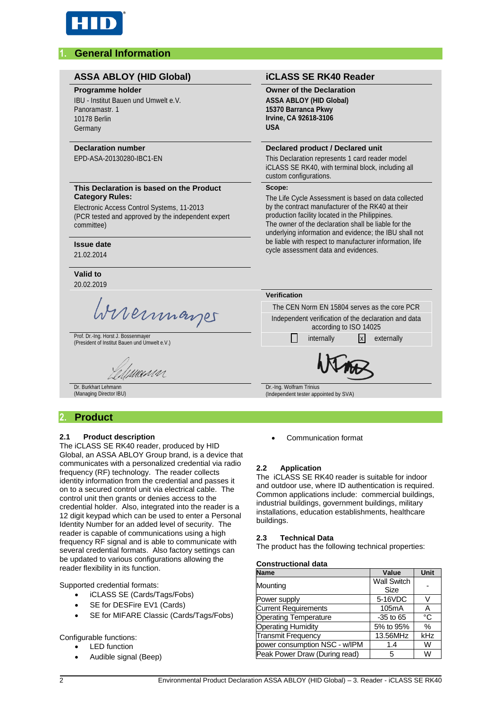

# **1. General Information**

#### **ASSA ABLOY (HID Global) iCLASS SE RK40 Reader**

#### **Programme holder**

IBU - Institut Bauen und Umwelt e.V. Panoramastr. 1 10178 Berlin Germany

#### **Declaration number**

EPD-ASA-20130280-IBC1-EN

#### **This Declaration is based on the Product Category Rules:**

Electronic Access Control Systems, 11-2013 (PCR tested and approved by the independent expert committee)

#### **Issue date**

21.02.2014

**Valid to** 20.02.2019

Memmanger

Prof. Dr.-Ing. Horst J. Bossenmayer Prof. Dr.-Ing. Horst J. Bossenmayer<br>(President of Institut Bauen und Umwelt e.V.) internally internally internally x externally

umun

Dr. Burkhart Lehmann (Managing Director IBU)

# **2. Product**

#### **2.1 Product description**

The iCLASS SE RK40 reader, produced by HID Global, an ASSA ABLOY Group brand, is a device that communicates with a personalized credential via radio frequency (RF) technology. The reader collects identity information from the credential and passes it on to a secured control unit via electrical cable. The control unit then grants or denies access to the credential holder. Also, integrated into the reader is a 12 digit keypad which can be used to enter a Personal Identity Number for an added level of security. The reader is capable of communications using a high frequency RF signal and is able to communicate with several credential formats. Also factory settings can be updated to various configurations allowing the reader flexibility in its function.

Supported credential formats:

- iCLASS SE (Cards/Tags/Fobs)
- SE for DESFire EV1 (Cards)
- SE for MIFARE Classic (Cards/Tags/Fobs)

Configurable functions:

- LED function
- Audible signal (Beep)

**Owner of the Declaration ASSA ABLOY (HID Global) 15370 Barranca Pkwy Irvine, CA 92618-3106 USA**

#### **Declared product / Declared unit**

This Declaration represents 1 card reader model iCLASS SE RK40, with terminal block, including all custom configurations.

#### **Scope:**

The Life Cycle Assessment is based on data collected by the contract manufacturer of the RK40 at their production facility located in the Philippines. The owner of the declaration shall be liable for the underlying information and evidence; the IBU shall not be liable with respect to manufacturer information, life cycle assessment data and evidences.

**Verification**

The CEN Norm EN 15804 serves as the core PCR Independent verification of the declaration and data according to ISO 14025



Dr.-Ing. Wolfram Trinius

(Independent tester appointed by SVA)

Communication format

### **2.2 Application**

The iCLASS SE RK40 reader is suitable for indoor and outdoor use, where ID authentication is required. Common applications include: commercial buildings, industrial buildings, government buildings, military installations, education establishments, healthcare buildings.

#### **2.3 Technical Data**

The product has the following technical properties:

#### **Constructional data**

| <b>Name</b>                   | Value                      | <b>Unit</b> |
|-------------------------------|----------------------------|-------------|
| Mounting                      | <b>Wall Switch</b><br>Size |             |
| Power supply                  | 5-16VDC                    |             |
| <b>Current Requirements</b>   | 105mA                      | А           |
| <b>Operating Temperature</b>  | $-35$ to 65                | °C          |
| <b>Operating Humidity</b>     | 5% to 95%                  | $\%$        |
| Transmit Frequency            | 13.56MHz                   | kHz         |
| power consumption NSC - w/IPM | 1.4                        | W           |
| Peak Power Draw (During read) | 5                          | W           |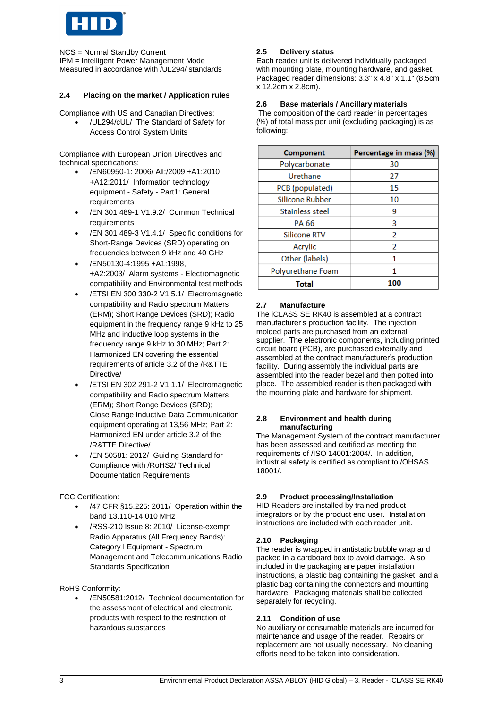

NCS = Normal Standby Current IPM = Intelligent Power Management Mode Measured in accordance with /UL294/ standards

#### **2.4 Placing on the market / Application rules**

Compliance with US and Canadian Directives:

 /UL294/cUL/ The Standard of Safety for Access Control System Units

Compliance with European Union Directives and technical specifications:

- /EN60950-1: 2006/ All:/2009 +A1:2010 +A12:2011/ Information technology equipment - Safety - Part1: General requirements
- /EN 301 489-1 V1.9.2/ Common Technical requirements
- /EN 301 489-3 V1.4.1/ Specific conditions for Short-Range Devices (SRD) operating on frequencies between 9 kHz and 40 GHz
- /EN50130-4:1995 +A1:1998, +A2:2003/ Alarm systems - Electromagnetic compatibility and Environmental test methods
- /ETSI EN 300 330-2 V1.5.1/ Electromagnetic compatibility and Radio spectrum Matters (ERM); Short Range Devices (SRD); Radio equipment in the frequency range 9 kHz to 25 MHz and inductive loop systems in the frequency range 9 kHz to 30 MHz; Part 2: Harmonized EN covering the essential requirements of article 3.2 of the /R&TTE Directive/
- /ETSI EN 302 291-2 V1.1.1/ Electromagnetic compatibility and Radio spectrum Matters (ERM); Short Range Devices (SRD); Close Range Inductive Data Communication equipment operating at 13,56 MHz; Part 2: Harmonized EN under article 3.2 of the /R&TTE Directive/
- /EN 50581: 2012/ Guiding Standard for Compliance with /RoHS2/ Technical Documentation Requirements

#### FCC Certification:

- /47 CFR §15.225: 2011/ Operation within the band 13.110-14.010 MHz
- /RSS-210 Issue 8: 2010/ License-exempt Radio Apparatus (All Frequency Bands): Category I Equipment - Spectrum Management and Telecommunications Radio Standards Specification

#### RoHS Conformity:

 /EN50581:2012/ Technical documentation for the assessment of electrical and electronic products with respect to the restriction of hazardous substances

#### **2.5 Delivery status**

Each reader unit is delivered individually packaged with mounting plate, mounting hardware, and gasket. Packaged reader dimensions: 3.3" x 4.8" x 1.1" (8.5cm x 12.2cm x 2.8cm).

#### **2.6 Base materials / Ancillary materials**

The composition of the card reader in percentages (%) of total mass per unit (excluding packaging) is as following:

| Component           | Percentage in mass (%) |
|---------------------|------------------------|
| Polycarbonate       | 30                     |
| Urethane            | 27                     |
| PCB (populated)     | 15                     |
| Silicone Rubber     | 10                     |
| Stainless steel     | g                      |
| PA 66               | 3                      |
| <b>Silicone RTV</b> | 2                      |
| Acrylic             | 2                      |
| Other (labels)      | 1                      |
| Polyurethane Foam   |                        |
| Total               | 100                    |

#### **2.7 Manufacture**

The iCLASS SE RK40 is assembled at a contract manufacturer's production facility. The injection molded parts are purchased from an external supplier. The electronic components, including printed circuit board (PCB), are purchased externally and assembled at the contract manufacturer's production facility. During assembly the individual parts are assembled into the reader bezel and then potted into place. The assembled reader is then packaged with the mounting plate and hardware for shipment.

#### **2.8 Environment and health during manufacturing**

The Management System of the contract manufacturer has been assessed and certified as meeting the requirements of /ISO 14001:2004/. In addition, industrial safety is certified as compliant to /OHSAS 18001/.

#### **2.9 Product processing/Installation**

HID Readers are installed by trained product integrators or by the product end user. Installation instructions are included with each reader unit.

#### **2.10 Packaging**

The reader is wrapped in antistatic bubble wrap and packed in a cardboard box to avoid damage. Also included in the packaging are paper installation instructions, a plastic bag containing the gasket, and a plastic bag containing the connectors and mounting hardware. Packaging materials shall be collected separately for recycling.

#### **2.11 Condition of use**

No auxiliary or consumable materials are incurred for maintenance and usage of the reader. Repairs or replacement are not usually necessary. No cleaning efforts need to be taken into consideration.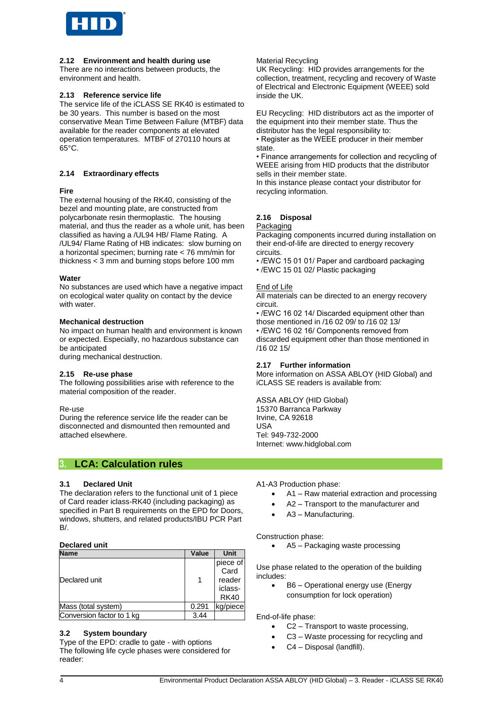

#### **2.12 Environment and health during use**

There are no interactions between products, the environment and health.

#### **2.13 Reference service life**

The service life of the iCLASS SE RK40 is estimated to be 30 years. This number is based on the most conservative Mean Time Between Failure (MTBF) data available for the reader components at elevated operation temperatures. MTBF of 270110 hours at 65°C.

#### **2.14 Extraordinary effects**

#### **Fire**

The external housing of the RK40, consisting of the bezel and mounting plate, are constructed from polycarbonate resin thermoplastic. The housing material, and thus the reader as a whole unit, has been classified as having a /UL94 HB/ Flame Rating. A /UL94/ Flame Rating of HB indicates: slow burning on a horizontal specimen; burning rate < 76 mm/min for thickness < 3 mm and burning stops before 100 mm

#### **Water**

No substances are used which have a negative impact on ecological water quality on contact by the device with water.

#### **Mechanical destruction**

No impact on human health and environment is known or expected. Especially, no hazardous substance can be anticipated

during mechanical destruction.

#### **2.15 Re-use phase**

The following possibilities arise with reference to the material composition of the reader.

#### Re-use

During the reference service life the reader can be disconnected and dismounted then remounted and attached elsewhere.

# **3. LCA: Calculation rules**

#### **3.1 Declared Unit**

The declaration refers to the functional unit of 1 piece of Card reader iclass-RK40 (including packaging) as specified in Part B requirements on the EPD for Doors, windows, shutters, and related products/IBU PCR Part  $R/$ 

#### **Declared unit**

| <b>Name</b>               | Value | <b>Unit</b>                                          |
|---------------------------|-------|------------------------------------------------------|
| Declared unit             |       | piece of<br>Card<br>reader<br>iclass-<br><b>RK40</b> |
| Mass (total system)       | 0.291 | kg/piece                                             |
| Conversion factor to 1 kg | 3.44  |                                                      |

#### **3.2 System boundary**

Type of the EPD: cradle to gate - with options The following life cycle phases were considered for reader:

#### Material Recycling

UK Recycling: HID provides arrangements for the collection, treatment, recycling and recovery of Waste of Electrical and Electronic Equipment (WEEE) sold inside the UK.

EU Recycling: HID distributors act as the importer of the equipment into their member state. Thus the distributor has the legal responsibility to:

• Register as the WEEE producer in their member state.

• Finance arrangements for collection and recycling of WEEE arising from HID products that the distributor sells in their member state.

In this instance please contact your distributor for recycling information.

#### **2.16 Disposal**

#### Packaging

Packaging components incurred during installation on their end-of-life are directed to energy recovery circuits.

- /EWC 15 01 01/ Paper and cardboard packaging
- /EWC 15 01 02/ Plastic packaging

#### End of Life

All materials can be directed to an energy recovery circuit.

• /EWC 16 02 14/ Discarded equipment other than those mentioned in /16 02 09/ to /16 02 13/

• /EWC 16 02 16/ Components removed from discarded equipment other than those mentioned in /16 02 15/

#### **2.17 Further information**

More information on ASSA ABLOY (HID Global) and iCLASS SE readers is available from:

ASSA ABLOY (HID Global) 15370 Barranca Parkway Irvine, CA 92618 USA Tel: 949-732-2000 Internet: www.hidglobal.com

A1-A3 Production phase:

- A1 Raw material extraction and processing
- A2 Transport to the manufacturer and
- A3 Manufacturing.

#### Construction phase:

A5 – Packaging waste processing

Use phase related to the operation of the building includes:

• B6 – Operational energy use (Energy consumption for lock operation)

End-of-life phase:

- C2 Transport to waste processing,
- C3 Waste processing for recycling and
- C4 Disposal (landfill).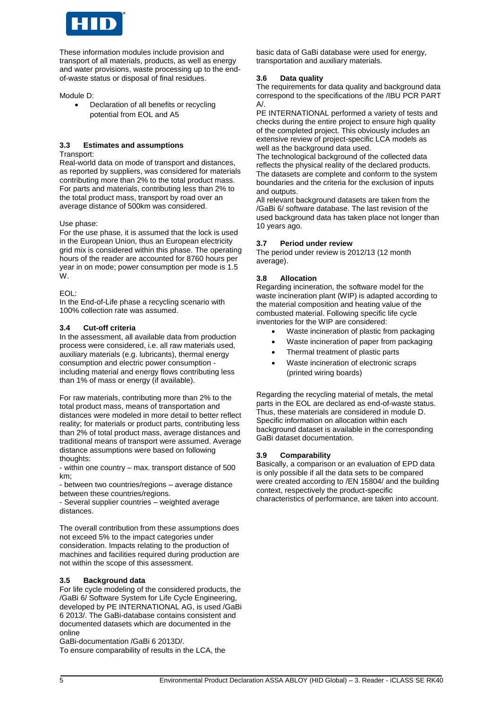

These information modules include provision and transport of all materials, products, as well as energy and water provisions, waste processing up to the endof-waste status or disposal of final residues.

Module D:

• Declaration of all benefits or recycling potential from EOL and A5

#### **3.3 Estimates and assumptions**

Transport:

Real-world data on mode of transport and distances, as reported by suppliers, was considered for materials contributing more than 2% to the total product mass. For parts and materials, contributing less than 2% to the total product mass, transport by road over an average distance of 500km was considered.

Use phase:

For the use phase, it is assumed that the lock is used in the European Union, thus an European electricity grid mix is considered within this phase. The operating hours of the reader are accounted for 8760 hours per year in on mode; power consumption per mode is 1.5 W.

EOL:

In the End-of-Life phase a recycling scenario with 100% collection rate was assumed.

#### **3.4 Cut-off criteria**

In the assessment, all available data from production process were considered, i.e. all raw materials used, auxiliary materials (e.g. lubricants), thermal energy consumption and electric power consumption including material and energy flows contributing less than 1% of mass or energy (if available).

For raw materials, contributing more than 2% to the total product mass, means of transportation and distances were modeled in more detail to better reflect reality; for materials or product parts, contributing less than 2% of total product mass, average distances and traditional means of transport were assumed. Average distance assumptions were based on following thoughts:

- within one country – max. transport distance of 500 km;

- between two countries/regions – average distance between these countries/regions.

- Several supplier countries – weighted average distances.

The overall contribution from these assumptions does not exceed 5% to the impact categories under consideration. Impacts relating to the production of machines and facilities required during production are not within the scope of this assessment.

#### **3.5 Background data**

For life cycle modeling of the considered products, the /GaBi 6/ Software System for Life Cycle Engineering, developed by PE INTERNATIONAL AG, is used /GaBi 6 2013/. The GaBi-database contains consistent and documented datasets which are documented in the online

GaBi-documentation /GaBi 6 2013D/.

To ensure comparability of results in the LCA, the

basic data of GaBi database were used for energy, transportation and auxiliary materials.

#### **3.6 Data quality**

The requirements for data quality and background data correspond to the specifications of the /IBU PCR PART  $A/$ 

PE INTERNATIONAL performed a variety of tests and checks during the entire project to ensure high quality of the completed project. This obviously includes an extensive review of project-specific LCA models as well as the background data used.

The technological background of the collected data reflects the physical reality of the declared products. The datasets are complete and conform to the system boundaries and the criteria for the exclusion of inputs and outputs.

All relevant background datasets are taken from the /GaBi 6/ software database. The last revision of the used background data has taken place not longer than 10 years ago.

#### **3.7 Period under review**

The period under review is 2012/13 (12 month average).

#### **3.8 Allocation**

Regarding incineration, the software model for the waste incineration plant (WIP) is adapted according to the material composition and heating value of the combusted material. Following specific life cycle inventories for the WIP are considered:

- Waste incineration of plastic from packaging
- Waste incineration of paper from packaging
- Thermal treatment of plastic parts
- Waste incineration of electronic scraps (printed wiring boards)

Regarding the recycling material of metals, the metal parts in the EOL are declared as end-of-waste status. Thus, these materials are considered in module D. Specific information on allocation within each background dataset is available in the corresponding GaBi dataset documentation.

#### **3.9 Comparability**

Basically, a comparison or an evaluation of EPD data is only possible if all the data sets to be compared were created according to /EN 15804/ and the building context, respectively the product-specific characteristics of performance, are taken into account.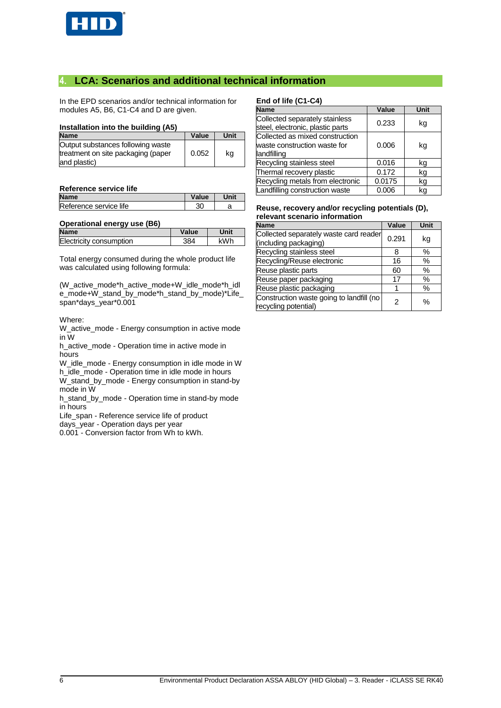

# **4. LCA: Scenarios and additional technical information**

In the EPD scenarios and/or technical information for modules A5, B6, C1-C4 and D are given.

#### **Installation into the building (A5)**

| <b>Name</b>                                                                             | Value | Unit |
|-----------------------------------------------------------------------------------------|-------|------|
| Output substances following waste<br>treatment on site packaging (paper<br>and plastic) | 0.052 | ka   |

#### **Reference service life**

| <b>Name</b>            | Value | Unit |
|------------------------|-------|------|
| Reference service life | 30    |      |

#### **Operational energy use (B6)**

| <b>Name</b>             | Value | Unit |
|-------------------------|-------|------|
| Electricity consumption | 384   | kWh  |

Total energy consumed during the whole product life was calculated using following formula:

(W\_active\_mode\*h\_active\_mode+W\_idle\_mode\*h\_idl e\_mode+W\_stand\_by\_mode\*h\_stand\_by\_mode)\*Life\_ span\*days\_year\*0.001

#### Where:

W\_active\_mode - Energy consumption in active mode in W

h\_active\_mode - Operation time in active mode in hours

W\_idle\_mode - Energy consumption in idle mode in W h\_idle\_mode - Operation time in idle mode in hours W\_stand\_by\_mode - Energy consumption in stand-by

mode in W h\_stand\_by\_mode - Operation time in stand-by mode in hours

- Life\_span Reference service life of product
- days\_year Operation days per year

0.001 - Conversion factor from Wh to kWh.

## **End of life (C1-C4)**

| <b>Name</b>                                                                    | Value  | <b>Unit</b> |
|--------------------------------------------------------------------------------|--------|-------------|
| Collected separately stainless<br>steel, electronic, plastic parts             | 0.233  | kg          |
| Collected as mixed construction<br>waste construction waste for<br>landfilling | 0.006  | kg          |
| Recycling stainless steel                                                      | 0.016  | kg          |
| Thermal recovery plastic                                                       | 0.172  | kg          |
| Recycling metals from electronic                                               | 0.0175 | kg          |
| Landfilling construction waste                                                 | 0.006  | ka          |

#### **Reuse, recovery and/or recycling potentials (D), relevant scenario information**

| <b>Name</b>                                                      | Value | Unit |
|------------------------------------------------------------------|-------|------|
| Collected separately waste card reader<br>(including packaging)  | 0.291 | kg   |
| Recycling stainless steel                                        | 8     | $\%$ |
| Recycling/Reuse electronic                                       | 16    | %    |
| Reuse plastic parts                                              | 60    | $\%$ |
| Reuse paper packaging                                            | 17    | %    |
| Reuse plastic packaging                                          |       | %    |
| Construction waste going to landfill (no<br>recycling potential) | 2     | $\%$ |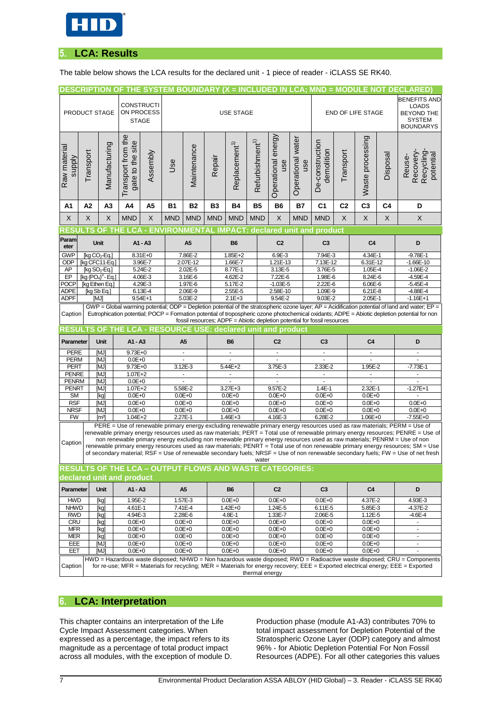

# **5. LCA: Results**

The table below shows the LCA results for the declared unit - 1 piece of reader - iCLASS SE RK40.

|                            |               |                                    |                                 |                        |                                                                     |                          |            |                           |                             |                          |                   |                                                                           |                |                          |          | DESCRIPTION OF THE SYSTEM BOUNDARY (X = INCLUDED IN LCA; MND = MODULE NOT DECLARED)                                                                                                                                                                         |
|----------------------------|---------------|------------------------------------|---------------------------------|------------------------|---------------------------------------------------------------------|--------------------------|------------|---------------------------|-----------------------------|--------------------------|-------------------|---------------------------------------------------------------------------|----------------|--------------------------|----------|-------------------------------------------------------------------------------------------------------------------------------------------------------------------------------------------------------------------------------------------------------------|
|                            |               |                                    |                                 |                        |                                                                     |                          |            |                           |                             |                          |                   |                                                                           |                |                          |          | <b>BENEFITS AND</b>                                                                                                                                                                                                                                         |
|                            | PRODUCT STAGE |                                    | <b>CONSTRUCTI</b><br>ON PROCESS |                        |                                                                     |                          |            | <b>USE STAGE</b>          |                             |                          |                   |                                                                           |                | <b>END OF LIFE STAGE</b> |          | <b>LOADS</b><br><b>BEYOND THE</b>                                                                                                                                                                                                                           |
|                            |               |                                    | <b>STAGE</b>                    |                        |                                                                     |                          |            |                           |                             |                          |                   |                                                                           |                |                          |          | <b>SYSTEM</b>                                                                                                                                                                                                                                               |
|                            |               |                                    |                                 |                        |                                                                     |                          |            |                           |                             |                          |                   |                                                                           |                |                          |          | <b>BOUNDARYS</b>                                                                                                                                                                                                                                            |
|                            |               |                                    |                                 |                        |                                                                     |                          |            |                           |                             |                          |                   |                                                                           |                |                          |          |                                                                                                                                                                                                                                                             |
|                            |               |                                    |                                 |                        |                                                                     |                          |            |                           |                             | energy                   |                   |                                                                           |                |                          |          |                                                                                                                                                                                                                                                             |
|                            |               |                                    |                                 |                        |                                                                     |                          |            |                           |                             |                          |                   |                                                                           |                |                          |          |                                                                                                                                                                                                                                                             |
| <b>Alddns</b>              | Transport     |                                    |                                 |                        | Use                                                                 |                          | Repair     |                           |                             | use                      | use               |                                                                           | Transport      |                          | Disposal | potential<br>Reuse-                                                                                                                                                                                                                                         |
| Raw material               |               | Manufacturing                      | gate to the site                | Assembly               |                                                                     | Maintenance              |            | Replacement <sup>1)</sup> |                             |                          |                   | demolition                                                                |                |                          |          | Recovery-<br>Recycling                                                                                                                                                                                                                                      |
|                            |               |                                    | Transport from the              |                        |                                                                     |                          |            |                           | Refurbishment <sup>1)</sup> | Operational              | Operational water | De-construction                                                           |                | Waste processing         |          |                                                                                                                                                                                                                                                             |
|                            |               |                                    |                                 |                        |                                                                     |                          |            |                           |                             |                          |                   |                                                                           |                |                          |          |                                                                                                                                                                                                                                                             |
| A1                         | A2            | A <sub>3</sub>                     | A4                              | A5                     | <b>B1</b>                                                           | <b>B2</b>                | B3         | <b>B4</b>                 | <b>B5</b>                   | <b>B6</b>                | Β7                | C <sub>1</sub>                                                            | C <sub>2</sub> | C <sub>3</sub>           | C4       | D                                                                                                                                                                                                                                                           |
| X                          | X             | X                                  | <b>MND</b>                      | X                      | <b>MND</b>                                                          | <b>MND</b>               | <b>MND</b> | <b>MND</b>                | <b>MND</b>                  | X                        | <b>MND</b>        | <b>MND</b>                                                                | X              | X                        | X        | X                                                                                                                                                                                                                                                           |
| <b>RESU</b>                |               |                                    |                                 |                        |                                                                     |                          |            |                           |                             |                          |                   | TS OF THE LCA - ENVIRONMENTAL IMPACT: declared unit and product           |                |                          |          |                                                                                                                                                                                                                                                             |
| Param<br>eter              |               | Unit                               |                                 | A1 - A3                |                                                                     | A <sub>5</sub>           |            | <b>B6</b>                 |                             | C <sub>2</sub>           |                   | C <sub>3</sub>                                                            |                | C <sub>4</sub>           |          | D                                                                                                                                                                                                                                                           |
| <b>GWP</b>                 |               | [kg $CO2$ -Eq.]                    |                                 | 8.31E+0                |                                                                     | 7.86E-2                  |            | $1.85E + 2$               |                             | 6.9E-3                   |                   | 7.94E-3                                                                   |                | 4.34E-1                  |          | $-9.78E - 1$                                                                                                                                                                                                                                                |
| <b>ODP</b><br>AP           |               | [ka CFC11-Ea.]<br>[kg $SO_2$ -Eq.] |                                 | 3.96E-7<br>5.24E-2     |                                                                     | 2.07E-12<br>2.02E-5      |            | 1.66E-7<br>8.77E-1        |                             | 1.21E-13<br>3.13E-5      |                   | 7.13E-12<br>3.76E-5                                                       |                | 6.31E-12<br>1.05E-4      |          | $-1.66E-10$<br>$-1.06E - 2$                                                                                                                                                                                                                                 |
| $E$ P                      |               | [kg (PO4) <sup>3</sup> - Eg.]      |                                 | 4.06E-3                |                                                                     | 3.16E-6                  |            | 4.62E-2                   |                             | 7.22E-6                  |                   | 1.98E-6                                                                   |                | 8.24E-6                  |          | $-4.59E - 4$                                                                                                                                                                                                                                                |
| POCP                       |               | [kg Ethen Eg.]                     |                                 | 4.29E-3                |                                                                     | 1.97E-6                  |            | 5.17E-2                   |                             | $-1.03E - 5$             |                   | 2.22E-6                                                                   |                | 6.06E-6                  |          | $-5.45E - 4$                                                                                                                                                                                                                                                |
| <b>ADPE</b><br><b>ADPF</b> |               | [kg Sb Eq.]<br>[MJ]                |                                 | 6.13E-4<br>$9.54E + 1$ |                                                                     | 2.06E-9<br>5.03E-2       |            | 2.55E-5<br>$2.1E + 3$     |                             | 2.58E-10<br>9.54E-2      |                   | 1.09E-9<br>9.03E-2                                                        |                | 6.21E-8<br>$2.05E - 1$   |          | $-4.88E - 4$<br>$-1.16E+1$                                                                                                                                                                                                                                  |
|                            |               |                                    |                                 |                        |                                                                     |                          |            |                           |                             |                          |                   |                                                                           |                |                          |          | GWP = Global warming potential; ODP = Depletion potential of the stratospheric ozone layer; AP = Acidification potential of land and water; EP =                                                                                                            |
| Caption                    |               |                                    |                                 |                        |                                                                     |                          |            |                           |                             |                          |                   | fossil resources; ADPF = Abiotic depletion potential for fossil resources |                |                          |          | Eutrophication potential; POCP = Formation potential of tropospheric ozone photochemical oxidants; ADPE = Abiotic depletion potential for non                                                                                                               |
|                            |               |                                    |                                 |                        | <b>RESULTS OF THE LCA - RESOURCE USE: declared unit and product</b> |                          |            |                           |                             |                          |                   |                                                                           |                |                          |          |                                                                                                                                                                                                                                                             |
| Parameter                  |               | Unit                               | $A1 - A3$                       |                        |                                                                     | A5                       |            | <b>B6</b>                 |                             | C <sub>2</sub>           |                   | C <sub>3</sub>                                                            |                | C <sub>4</sub>           |          | D                                                                                                                                                                                                                                                           |
| <b>PERE</b>                |               | <b>MJ</b>                          | 9.73E+0                         |                        |                                                                     | $\blacksquare$           |            |                           |                             | $\overline{a}$           |                   |                                                                           |                | ÷                        |          |                                                                                                                                                                                                                                                             |
| <b>PERM</b>                |               | [MJ]                               | $0.0E + 0$                      |                        |                                                                     |                          |            |                           |                             |                          |                   |                                                                           |                |                          |          |                                                                                                                                                                                                                                                             |
| PERT<br><b>PENRE</b>       |               | [MJ]<br><b>MJI</b>                 | 9.73E+0<br>$1.07E + 2$          |                        |                                                                     | 3.12E-3                  |            | 5.44E+2                   |                             | 3.75E-3                  |                   | 2.33E-2                                                                   |                | 1.95E-2                  |          | $-7.73E-1$<br>ä,                                                                                                                                                                                                                                            |
| <b>PENRM</b>               |               | [MJ]                               | $0.0E + 0$                      |                        |                                                                     | ä,                       |            |                           |                             |                          |                   |                                                                           |                | ä,                       |          |                                                                                                                                                                                                                                                             |
| <b>PENRT</b>               |               | [MJ]                               | $1.07E + 2$                     |                        |                                                                     | 5.58E-2                  |            | $3.27E + 3$               |                             | 9.57E-2                  |                   | $1.4E-1$                                                                  |                | 2.32E-1                  |          | $-1.27E+1$                                                                                                                                                                                                                                                  |
| <b>SM</b>                  |               |                                    |                                 |                        | $0.0E + 0$                                                          |                          |            | $0.0E + 0$                |                             |                          |                   | $0.0E + 0$                                                                |                |                          |          |                                                                                                                                                                                                                                                             |
|                            |               | [kg]                               | $0.0E + 0$                      |                        |                                                                     |                          |            |                           |                             | $0.0E + 0$               |                   |                                                                           |                | $0.0E + 0$               |          |                                                                                                                                                                                                                                                             |
| <b>RSF</b><br><b>NRSF</b>  |               | <b>MJI</b><br>[MJ]                 | $0.0E + 0$<br>$0.0E + 0$        |                        |                                                                     | $0.0E + 0$<br>$0.0E + 0$ |            | $0.0E + 0$<br>$0.0E + 0$  |                             | $0.0E + 0$<br>$0.0E + 0$ |                   | $0.0E + 0$<br>$0.0E + 0$                                                  |                | $0.0E + 0$<br>$0.0E + 0$ |          | $0.0E + 0$<br>$0.0E + 0$                                                                                                                                                                                                                                    |
| <b>FW</b>                  |               | $\lceil m^3 \rceil$                | $1.04E + 2$                     |                        |                                                                     | 2.27E-1                  |            | $1.46E + 3$               |                             | 4.16E-3                  |                   | 6.28E-2                                                                   |                | $1.06E + 0$              |          | $-7.55E + 0$                                                                                                                                                                                                                                                |
|                            |               |                                    |                                 |                        |                                                                     |                          |            |                           |                             |                          |                   |                                                                           |                |                          |          | PERE = Use of renewable primary energy excluding renewable primary energy resources used as raw materials; PERM = Use of                                                                                                                                    |
|                            |               |                                    |                                 |                        |                                                                     |                          |            |                           |                             |                          |                   |                                                                           |                |                          |          | non renewable primary energy excluding non renewable primary energy resources used as raw materials; PENRM = Use of non                                                                                                                                     |
| Caption                    |               |                                    |                                 |                        |                                                                     |                          |            |                           |                             |                          |                   |                                                                           |                |                          |          | renewable primary energy resources used as raw materials; PENRT = Total use of non renewable primary energy resources; SM = Use                                                                                                                             |
|                            |               |                                    |                                 |                        |                                                                     |                          |            |                           | water                       |                          |                   |                                                                           |                |                          |          |                                                                                                                                                                                                                                                             |
|                            |               |                                    |                                 |                        | <b>RESULTS OF THE LCA - OUTPUT FLOWS AND WASTE CATEGORIES:</b>      |                          |            |                           |                             |                          |                   |                                                                           |                |                          |          |                                                                                                                                                                                                                                                             |
|                            |               |                                    | declared unit and product       |                        |                                                                     |                          |            |                           |                             |                          |                   |                                                                           |                |                          |          |                                                                                                                                                                                                                                                             |
| Parameter                  |               | Unit                               | A1 - A3                         |                        |                                                                     | A5                       |            | <b>B6</b>                 |                             | C <sub>2</sub>           |                   | C <sub>3</sub>                                                            |                | C4                       |          | of secondary material; RSF = Use of renewable secondary fuels; NRSF = Use of non renewable secondary fuels; FW = Use of net fresh<br>D                                                                                                                      |
| <b>HWD</b><br><b>NHWD</b>  |               | [kg]<br>[kg]                       | 1.95E-2<br>4.61E-1              |                        |                                                                     | 1.57E-3<br>7.41E-4       |            | $0.0E + 0$<br>1.42E+0     |                             | $0.0E + 0$<br>1.24E-5    |                   | $0.0E + 0$<br>6.11E-5                                                     |                | 4.37E-2<br>5.85E-3       |          | 4.93E-3<br>$-4.37E - 2$                                                                                                                                                                                                                                     |
| <b>RWD</b>                 |               | [kg]                               | 4.94E-3                         |                        |                                                                     | 2.28E-6                  |            | 4.8E-1                    |                             | 1.33E-7                  |                   | 2.06E-5                                                                   |                | 1.12E-5                  |          | $-4.6E - 4$                                                                                                                                                                                                                                                 |
| <b>CRU</b>                 |               | [kg]                               | $0.0E + 0$                      |                        |                                                                     | $0.0E + 0$               |            | $0.0E + 0$                |                             | $0.0E + 0$               |                   | $0.0E + 0$                                                                |                | $0.0E + 0$               |          | ٠                                                                                                                                                                                                                                                           |
| <b>MFR</b><br><b>MER</b>   |               | [kg]<br>[kg]                       | $0.0E + 0$<br>$0.0E + 0$        |                        |                                                                     | $0.0E + 0$<br>$0.0E + 0$ |            | $0.0E + 0$<br>$0.0E + 0$  |                             | $0.0E + 0$<br>$0.0E + 0$ |                   | $0.0E + 0$<br>$0.0E + 0$                                                  |                | $0.0E + 0$<br>$0.0E + 0$ |          | $\blacksquare$                                                                                                                                                                                                                                              |
| EEE                        |               | [MJ]                               | $0.0E + 0$                      |                        |                                                                     | $0.0E + 0$               |            | $0.0E + 0$                |                             | $0.0E + 0$               |                   | $0.0E + 0$                                                                |                | $0.0E + 0$               |          | $\blacksquare$                                                                                                                                                                                                                                              |
| EET                        |               | [MJ]                               | $0.0E + 0$                      |                        |                                                                     | $0.0E + 0$               |            | $0.0E + 0$                |                             | $0.0E + 0$               |                   | $0.0E + 0$                                                                |                | $0.0E + 0$               |          | ä,                                                                                                                                                                                                                                                          |
| Caption                    |               |                                    |                                 |                        |                                                                     |                          |            |                           |                             |                          |                   |                                                                           |                |                          |          | HWD = Hazardous waste disposed; NHWD = Non hazardous waste disposed; RWD = Radioactive waste disposed; CRU = Components<br>for re-use; MFR = Materials for recycling; MER = Materials for energy recovery; EEE = Exported electrical energy; EEE = Exported |
|                            |               |                                    |                                 |                        |                                                                     |                          |            |                           | thermal energy              |                          |                   |                                                                           |                |                          |          | renewable primary energy resources used as raw materials; PERT = Total use of renewable primary energy resources; PENRE = Use of                                                                                                                            |

# **6. LCA: Interpretation**

This chapter contains an interpretation of the Life Cycle Impact Assessment categories. When expressed as a percentage, the impact refers to its magnitude as a percentage of total product impact across all modules, with the exception of module D. Production phase (module A1-A3) contributes 70% to total impact assessment for Depletion Potential of the Stratospheric Ozone Layer (ODP) category and almost 96% - for Abiotic Depletion Potential For Non Fossil Resources (ADPE). For all other categories this values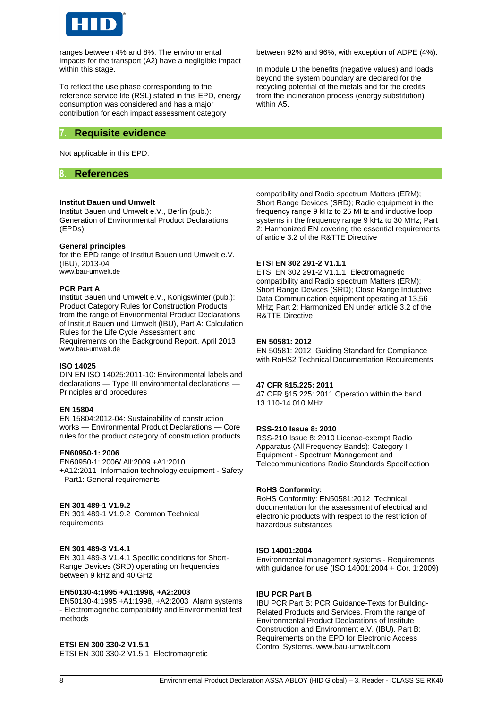

ranges between 4% and 8%. The environmental impacts for the transport (A2) have a negligible impact within this stage.

To reflect the use phase corresponding to the reference service life (RSL) stated in this EPD, energy consumption was considered and has a major contribution for each impact assessment category

# **7. Requisite evidence**

Not applicable in this EPD.

### **8. References**

#### **Institut Bauen und Umwelt**

Institut Bauen und Umwelt e.V., Berlin (pub.): Generation of Environmental Product Declarations (EPDs);

#### **General principles**

for the EPD range of Institut Bauen und Umwelt e.V. (IBU), 2013-04 [www.bau-umwelt.de](http://www.bau-umwelt.de/)

#### **PCR Part A**

Institut Bauen und Umwelt e.V., Königswinter (pub.): Product Category Rules for Construction Products from the range of Environmental Product Declarations of Institut Bauen und Umwelt (IBU), Part A: Calculation Rules for the Life Cycle Assessment and Requirements on the Background Report. April 2013 [www.bau-umwelt.de](http://www.bau-umwelt.de/)

#### **ISO 14025**

DIN EN ISO 14025:2011-10: Environmental labels and declarations — Type III environmental declarations — Principles and procedures

#### **EN 15804**

EN 15804:2012-04: Sustainability of construction works — Environmental Product Declarations — Core rules for the product category of construction products

#### **EN60950-1: 2006**

EN60950-1: 2006/ All:2009 +A1:2010 +A12:2011 Information technology equipment - Safety - Part1: General requirements

#### **EN 301 489-1 V1.9.2**

EN 301 489-1 V1.9.2 Common Technical requirements

#### **EN 301 489-3 V1.4.1**

EN 301 489-3 V1.4.1 Specific conditions for Short-Range Devices (SRD) operating on frequencies between 9 kHz and 40 GHz

#### **EN50130-4:1995 +A1:1998, +A2:2003**

EN50130-4:1995 +A1:1998, +A2:2003 Alarm systems - Electromagnetic compatibility and Environmental test methods

#### **ETSI EN 300 330-2 V1.5.1**

ETSI EN 300 330-2 V1.5.1 Electromagnetic

between 92% and 96%, with exception of ADPE (4%).

In module D the benefits (negative values) and loads beyond the system boundary are declared for the recycling potential of the metals and for the credits from the incineration process (energy substitution) within A5.

compatibility and Radio spectrum Matters (ERM); Short Range Devices (SRD); Radio equipment in the frequency range 9 kHz to 25 MHz and inductive loop systems in the frequency range 9 kHz to 30 MHz; Part 2: Harmonized EN covering the essential requirements of article 3.2 of the R&TTE Directive

#### **ETSI EN 302 291-2 V1.1.1**

ETSI EN 302 291-2 V1.1.1 Electromagnetic compatibility and Radio spectrum Matters (ERM); Short Range Devices (SRD); Close Range Inductive Data Communication equipment operating at 13,56 MHz; Part 2: Harmonized EN under article 3.2 of the R&TTE Directive

#### **EN 50581: 2012**

EN 50581: 2012 Guiding Standard for Compliance with RoHS2 Technical Documentation Requirements

#### **47 CFR §15.225: 2011**

47 CFR §15.225: 2011 Operation within the band 13.110-14.010 MHz

#### **RSS-210 Issue 8: 2010**

RSS-210 Issue 8: 2010 License-exempt Radio Apparatus (All Frequency Bands): Category I Equipment - Spectrum Management and Telecommunications Radio Standards Specification

#### **RoHS Conformity:**

RoHS Conformity: EN50581:2012 Technical documentation for the assessment of electrical and electronic products with respect to the restriction of hazardous substances

#### **ISO 14001:2004**

Environmental management systems - Requirements with guidance for use (ISO 14001:2004 + Cor. 1:2009)

#### **IBU PCR Part B**

IBU PCR Part B: PCR Guidance-Texts for Building-Related Products and Services. From the range of Environmental Product Declarations of Institute Construction and Environment e.V. (IBU). Part B: Requirements on the EPD for Electronic Access Control Systems. www.bau-umwelt.com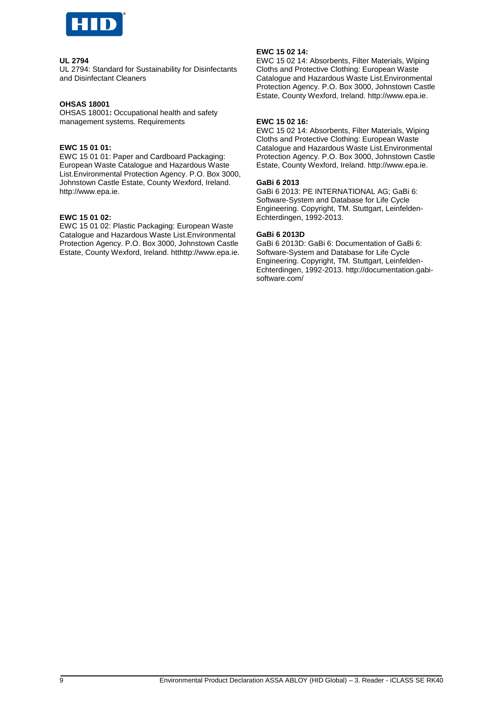

#### **UL 2794**

UL 2794: Standard for Sustainability for Disinfectants and Disinfectant Cleaners

#### **OHSAS 18001**

OHSAS 18001**:** Occupational health and safety management systems. Requirements

#### **EWC 15 01 01:**

EWC 15 01 01: Paper and Cardboard Packaging: European Waste Catalogue and Hazardous Waste List.Environmental Protection Agency. P.O. Box 3000, Johnstown Castle Estate, County Wexford, Ireland. http://www.epa.ie.

#### **EWC 15 01 02:**

EWC 15 01 02: Plastic Packaging: European Waste Catalogue and Hazardous Waste List.Environmental Protection Agency. P.O. Box 3000, Johnstown Castle Estate, County Wexford, Ireland. htthttp://www.epa.ie.

#### **EWC 15 02 14:**

EWC 15 02 14: Absorbents, Filter Materials, Wiping Cloths and Protective Clothing: European Waste Catalogue and Hazardous Waste List.Environmental Protection Agency. P.O. Box 3000, Johnstown Castle Estate, County Wexford, Ireland. http://www.epa.ie.

#### **EWC 15 02 16:**

EWC 15 02 14: Absorbents, Filter Materials, Wiping Cloths and Protective Clothing: European Waste Catalogue and Hazardous Waste List.Environmental Protection Agency. P.O. Box 3000, Johnstown Castle Estate, County Wexford, Ireland. http://www.epa.ie.

#### **GaBi 6 2013**

GaBi 6 2013: PE INTERNATIONAL AG; GaBi 6: Software-System and Database for Life Cycle Engineering. Copyright, TM. Stuttgart, Leinfelden-Echterdingen, 1992-2013.

#### **GaBi 6 2013D**

GaBi 6 2013D: GaBi 6: Documentation of GaBi 6: Software-System and Database for Life Cycle Engineering. Copyright, TM. Stuttgart, Leinfelden-Echterdingen, 1992-2013. http://documentation.gabisoftware.com/